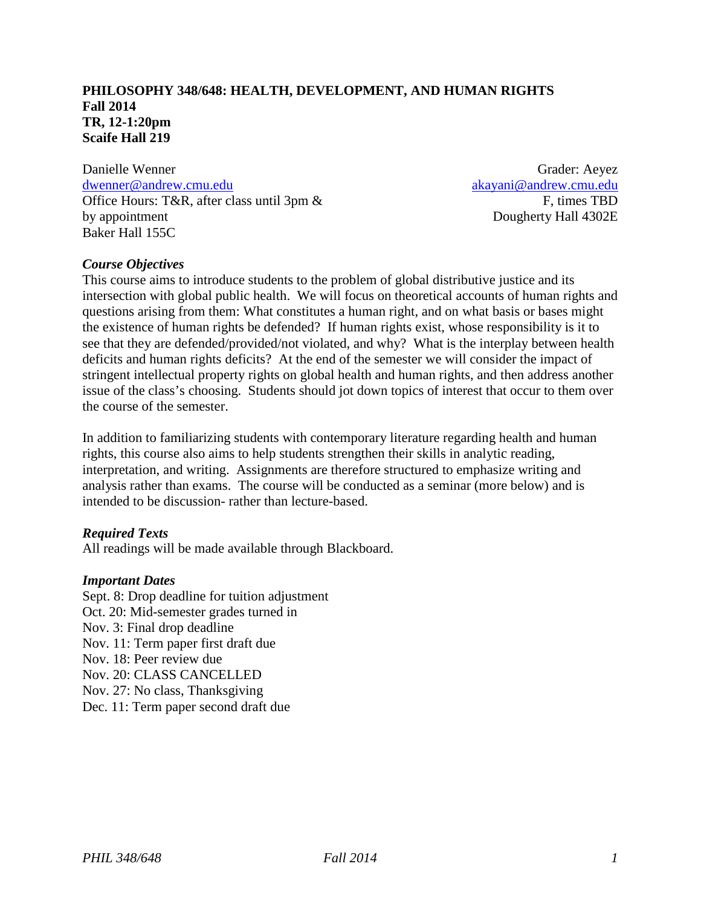## **PHILOSOPHY 348/648: HEALTH, DEVELOPMENT, AND HUMAN RIGHTS Fall 2014 TR, 12-1:20pm Scaife Hall 219**

Danielle Wenner [dwenner@andrew.cmu.edu](mailto:dwenner@andrew.cmu.edu) Office Hours: T&R, after class until 3pm & by appointment Baker Hall 155C

Grader: Aeyez [akayani@andrew.cmu.edu](mailto:akayani@andrew.cmu.edu) F, times TBD Dougherty Hall 4302E

### *Course Objectives*

This course aims to introduce students to the problem of global distributive justice and its intersection with global public health. We will focus on theoretical accounts of human rights and questions arising from them: What constitutes a human right, and on what basis or bases might the existence of human rights be defended? If human rights exist, whose responsibility is it to see that they are defended/provided/not violated, and why? What is the interplay between health deficits and human rights deficits? At the end of the semester we will consider the impact of stringent intellectual property rights on global health and human rights, and then address another issue of the class's choosing. Students should jot down topics of interest that occur to them over the course of the semester.

In addition to familiarizing students with contemporary literature regarding health and human rights, this course also aims to help students strengthen their skills in analytic reading, interpretation, and writing. Assignments are therefore structured to emphasize writing and analysis rather than exams. The course will be conducted as a seminar (more below) and is intended to be discussion- rather than lecture-based.

### *Required Texts*

All readings will be made available through Blackboard.

#### *Important Dates*

Sept. 8: Drop deadline for tuition adjustment Oct. 20: Mid-semester grades turned in Nov. 3: Final drop deadline Nov. 11: Term paper first draft due Nov. 18: Peer review due Nov. 20: CLASS CANCELLED Nov. 27: No class, Thanksgiving Dec. 11: Term paper second draft due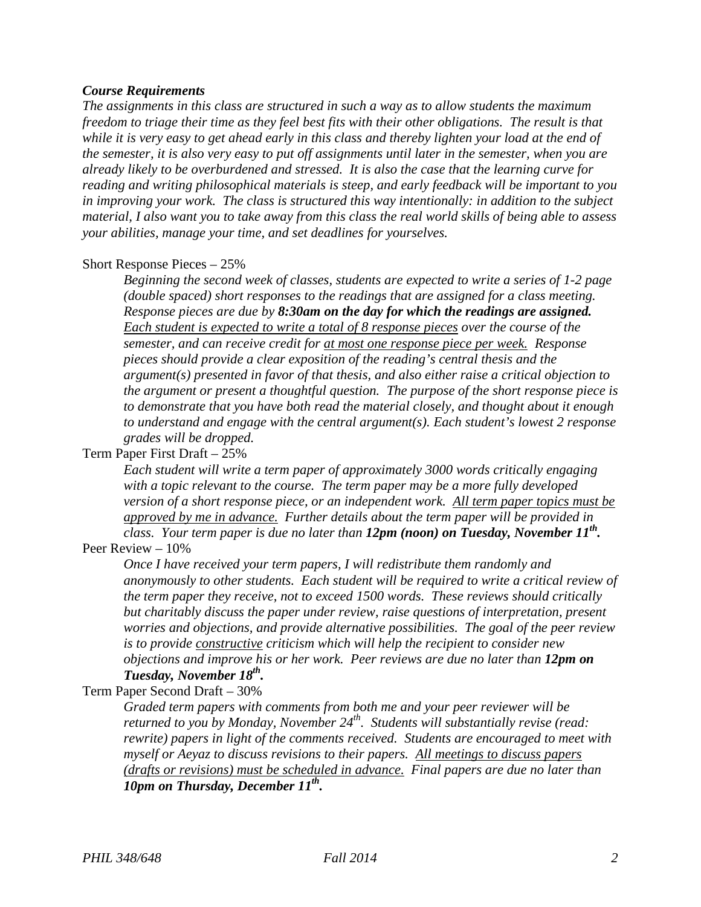#### *Course Requirements*

*The assignments in this class are structured in such a way as to allow students the maximum freedom to triage their time as they feel best fits with their other obligations. The result is that while it is very easy to get ahead early in this class and thereby lighten your load at the end of the semester, it is also very easy to put off assignments until later in the semester, when you are already likely to be overburdened and stressed. It is also the case that the learning curve for reading and writing philosophical materials is steep, and early feedback will be important to you in improving your work. The class is structured this way intentionally: in addition to the subject material, I also want you to take away from this class the real world skills of being able to assess your abilities, manage your time, and set deadlines for yourselves.*

#### Short Response Pieces – 25%

*Beginning the second week of classes, students are expected to write a series of 1-2 page (double spaced) short responses to the readings that are assigned for a class meeting. Response pieces are due by 8:30am on the day for which the readings are assigned. Each student is expected to write a total of 8 response pieces over the course of the semester, and can receive credit for at most one response piece per week. Response pieces should provide a clear exposition of the reading's central thesis and the argument(s) presented in favor of that thesis, and also either raise a critical objection to the argument or present a thoughtful question. The purpose of the short response piece is to demonstrate that you have both read the material closely, and thought about it enough to understand and engage with the central argument(s). Each student's lowest 2 response grades will be dropped.*

#### Term Paper First Draft – 25%

*Each student will write a term paper of approximately 3000 words critically engaging with a topic relevant to the course. The term paper may be a more fully developed version of a short response piece, or an independent work. All term paper topics must be approved by me in advance. Further details about the term paper will be provided in class. Your term paper is due no later than 12pm (noon) on Tuesday, November 11<sup>th</sup>.* 

#### Peer Review – 10%

*Once I have received your term papers, I will redistribute them randomly and anonymously to other students. Each student will be required to write a critical review of the term paper they receive, not to exceed 1500 words. These reviews should critically but charitably discuss the paper under review, raise questions of interpretation, present worries and objections, and provide alternative possibilities. The goal of the peer review is to provide constructive criticism which will help the recipient to consider new objections and improve his or her work. Peer reviews are due no later than 12pm on Tuesday, November 18th.*

#### Term Paper Second Draft – 30%

*Graded term papers with comments from both me and your peer reviewer will be returned to you by Monday, November 24th. Students will substantially revise (read: rewrite) papers in light of the comments received. Students are encouraged to meet with myself or Aeyaz to discuss revisions to their papers. All meetings to discuss papers (drafts or revisions) must be scheduled in advance. Final papers are due no later than 10pm on Thursday, December 11<sup>th</sup>.*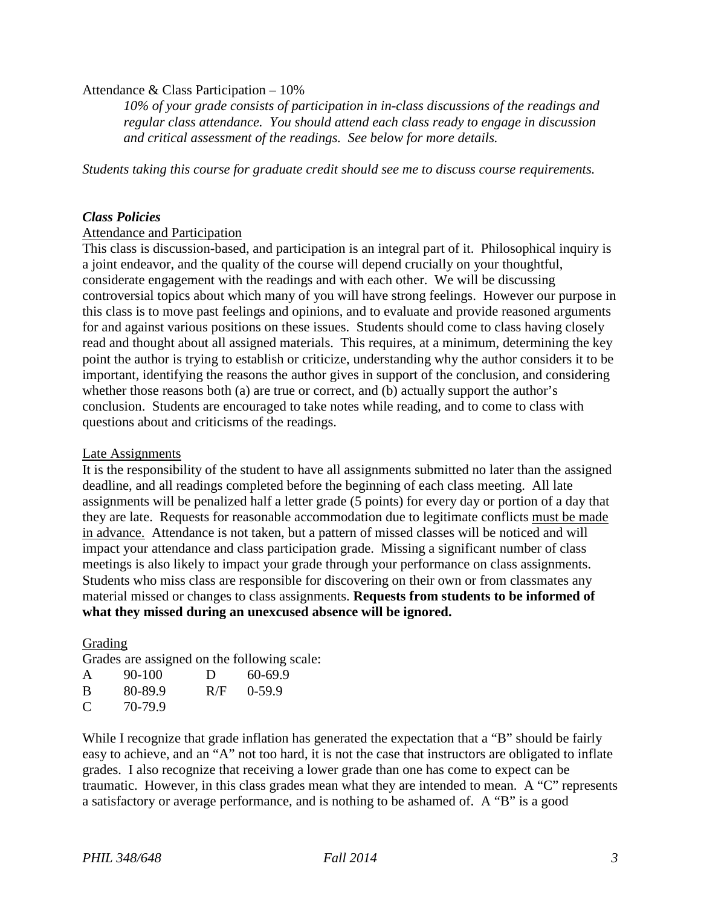#### Attendance & Class Participation – 10%

*10% of your grade consists of participation in in-class discussions of the readings and regular class attendance. You should attend each class ready to engage in discussion and critical assessment of the readings. See below for more details.*

*Students taking this course for graduate credit should see me to discuss course requirements.*

#### *Class Policies*

#### Attendance and Participation

This class is discussion-based, and participation is an integral part of it. Philosophical inquiry is a joint endeavor, and the quality of the course will depend crucially on your thoughtful, considerate engagement with the readings and with each other. We will be discussing controversial topics about which many of you will have strong feelings. However our purpose in this class is to move past feelings and opinions, and to evaluate and provide reasoned arguments for and against various positions on these issues. Students should come to class having closely read and thought about all assigned materials. This requires, at a minimum, determining the key point the author is trying to establish or criticize, understanding why the author considers it to be important, identifying the reasons the author gives in support of the conclusion, and considering whether those reasons both (a) are true or correct, and (b) actually support the author's conclusion. Students are encouraged to take notes while reading, and to come to class with questions about and criticisms of the readings.

#### Late Assignments

It is the responsibility of the student to have all assignments submitted no later than the assigned deadline, and all readings completed before the beginning of each class meeting. All late assignments will be penalized half a letter grade (5 points) for every day or portion of a day that they are late. Requests for reasonable accommodation due to legitimate conflicts must be made in advance.Attendance is not taken, but a pattern of missed classes will be noticed and will impact your attendance and class participation grade. Missing a significant number of class meetings is also likely to impact your grade through your performance on class assignments. Students who miss class are responsible for discovering on their own or from classmates any material missed or changes to class assignments. **Requests from students to be informed of what they missed during an unexcused absence will be ignored.**

### Grading

Grades are assigned on the following scale:

| A | 90-100  | D   | 60-69.9  |
|---|---------|-----|----------|
| B | 80-89.9 | R/F | $0-59.9$ |
| C | 70-79.9 |     |          |

While I recognize that grade inflation has generated the expectation that a "B" should be fairly easy to achieve, and an "A" not too hard, it is not the case that instructors are obligated to inflate grades. I also recognize that receiving a lower grade than one has come to expect can be traumatic. However, in this class grades mean what they are intended to mean. A "C" represents a satisfactory or average performance, and is nothing to be ashamed of. A "B" is a good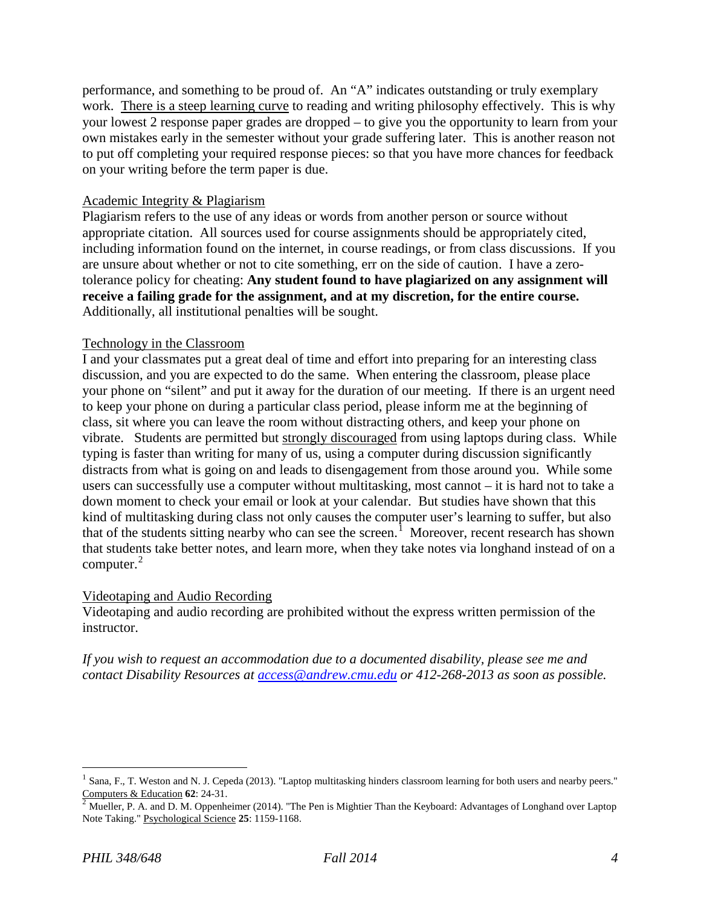performance, and something to be proud of. An "A" indicates outstanding or truly exemplary work. There is a steep learning curve to reading and writing philosophy effectively. This is why your lowest 2 response paper grades are dropped – to give you the opportunity to learn from your own mistakes early in the semester without your grade suffering later. This is another reason not to put off completing your required response pieces: so that you have more chances for feedback on your writing before the term paper is due.

### Academic Integrity & Plagiarism

Plagiarism refers to the use of any ideas or words from another person or source without appropriate citation. All sources used for course assignments should be appropriately cited, including information found on the internet, in course readings, or from class discussions. If you are unsure about whether or not to cite something, err on the side of caution. I have a zerotolerance policy for cheating: **Any student found to have plagiarized on any assignment will receive a failing grade for the assignment, and at my discretion, for the entire course.** Additionally, all institutional penalties will be sought.

### Technology in the Classroom

I and your classmates put a great deal of time and effort into preparing for an interesting class discussion, and you are expected to do the same. When entering the classroom, please place your phone on "silent" and put it away for the duration of our meeting. If there is an urgent need to keep your phone on during a particular class period, please inform me at the beginning of class, sit where you can leave the room without distracting others, and keep your phone on vibrate. Students are permitted but strongly discouraged from using laptops during class. While typing is faster than writing for many of us, using a computer during discussion significantly distracts from what is going on and leads to disengagement from those around you. While some users can successfully use a computer without multitasking, most cannot – it is hard not to take a down moment to check your email or look at your calendar. But studies have shown that this kind of multitasking during class not only causes the computer user's learning to suffer, but also that of the students sitting nearby who can see the screen.<sup>[1](#page-3-0)</sup> Moreover, recent research has shown that students take better notes, and learn more, when they take notes via longhand instead of on a computer. [2](#page-3-1)

#### Videotaping and Audio Recording

Videotaping and audio recording are prohibited without the express written permission of the instructor.

*If you wish to request an accommodation due to a documented disability, please see me and contact Disability Resources at [access@andrew.cmu.edu](mailto:access@andrew.cmu.edu) or 412-268-2013 as soon as possible.*

<span id="page-3-0"></span>Sana, F., T. Weston and N. J. Cepeda (2013). "Laptop multitasking hinders classroom learning for both users and nearby peers." Computers & Education **62**: 24-31.<br><sup>2</sup> Mueller, P. A. and D. M. Oppenheimer (2014). "The Pen is Mightier Than the Keyboard: Advantages of Longhand over Laptop

<span id="page-3-1"></span>Note Taking." Psychological Science **25**: 1159-1168.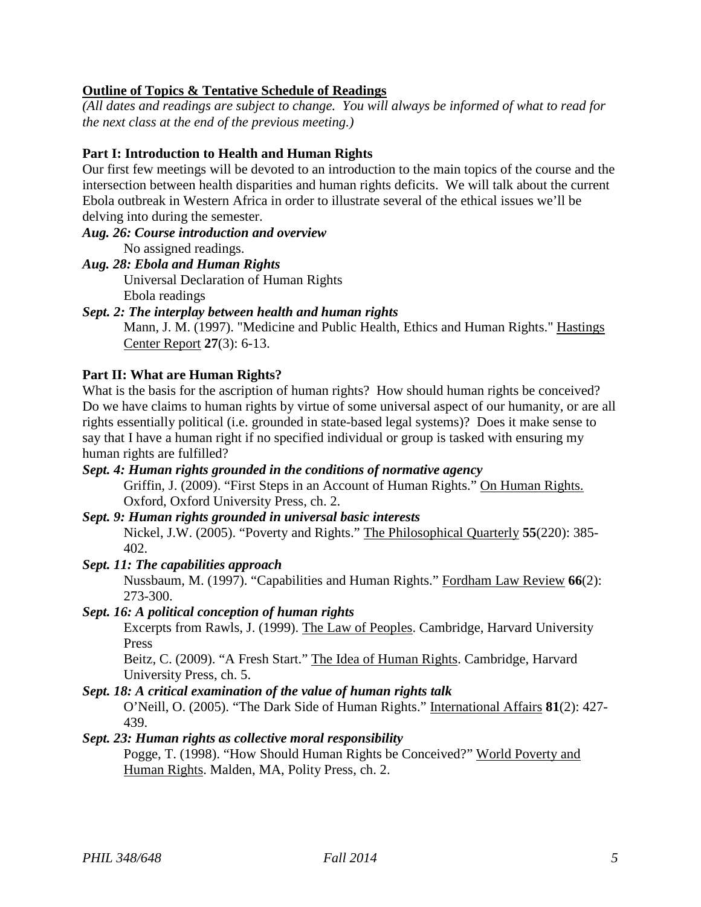# **Outline of Topics & Tentative Schedule of Readings**

*(All dates and readings are subject to change. You will always be informed of what to read for the next class at the end of the previous meeting.)*

# **Part I: Introduction to Health and Human Rights**

Our first few meetings will be devoted to an introduction to the main topics of the course and the intersection between health disparities and human rights deficits. We will talk about the current Ebola outbreak in Western Africa in order to illustrate several of the ethical issues we'll be delving into during the semester.

- *Aug. 26: Course introduction and overview* No assigned readings.
- *Aug. 28: Ebola and Human Rights*

Universal Declaration of Human Rights Ebola readings

*Sept. 2: The interplay between health and human rights*

Mann, J. M. (1997). "Medicine and Public Health, Ethics and Human Rights." Hastings Center Report **27**(3): 6-13.

# **Part II: What are Human Rights?**

What is the basis for the ascription of human rights? How should human rights be conceived? Do we have claims to human rights by virtue of some universal aspect of our humanity, or are all rights essentially political (i.e. grounded in state-based legal systems)? Does it make sense to say that I have a human right if no specified individual or group is tasked with ensuring my human rights are fulfilled?

# *Sept. 4: Human rights grounded in the conditions of normative agency*

Griffin, J. (2009). "First Steps in an Account of Human Rights." On Human Rights. Oxford, Oxford University Press, ch. 2.

#### *Sept. 9: Human rights grounded in universal basic interests* Nickel, J.W. (2005). "Poverty and Rights." The Philosophical Quarterly **55**(220): 385- 402.

# *Sept. 11: The capabilities approach*

Nussbaum, M. (1997). "Capabilities and Human Rights." Fordham Law Review **66**(2): 273-300.

## *Sept. 16: A political conception of human rights*

Excerpts from Rawls, J. (1999). The Law of Peoples. Cambridge, Harvard University Press

Beitz, C. (2009). "A Fresh Start." The Idea of Human Rights. Cambridge, Harvard University Press, ch. 5.

### *Sept. 18: A critical examination of the value of human rights talk*

O'Neill, O. (2005). "The Dark Side of Human Rights." International Affairs **81**(2): 427- 439.

### *Sept. 23: Human rights as collective moral responsibility*

Pogge, T. (1998). "How Should Human Rights be Conceived?" World Poverty and Human Rights. Malden, MA, Polity Press, ch. 2.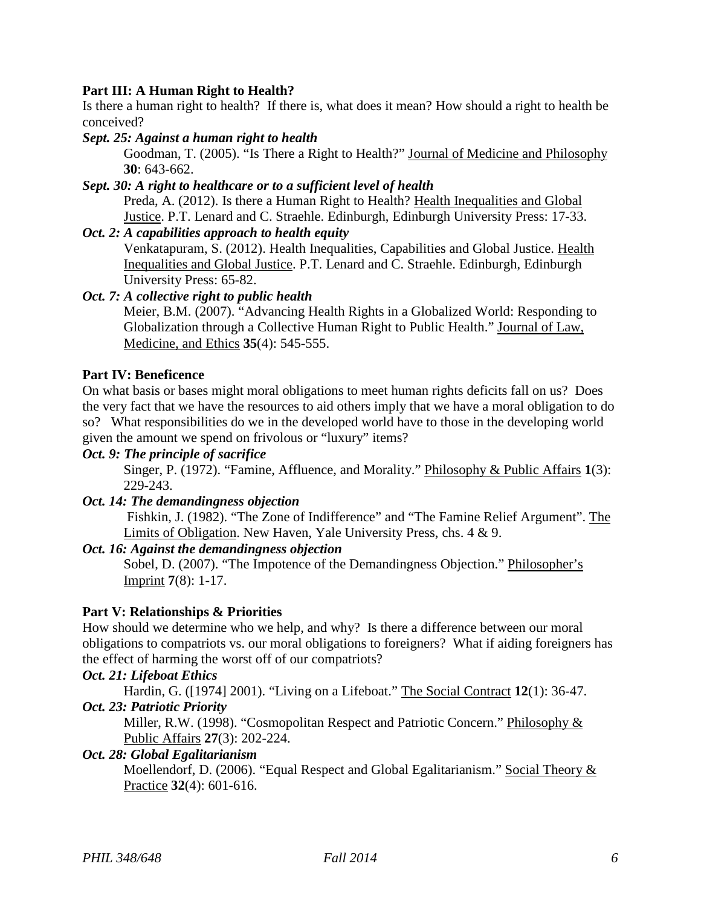## **Part III: A Human Right to Health?**

Is there a human right to health? If there is, what does it mean? How should a right to health be conceived?

## *Sept. 25: Against a human right to health*

Goodman, T. (2005). "Is There a Right to Health?" Journal of Medicine and Philosophy **30**: 643-662.

# *Sept. 30: A right to healthcare or to a sufficient level of health*

Preda, A. (2012). Is there a Human Right to Health? Health Inequalities and Global Justice. P.T. Lenard and C. Straehle. Edinburgh, Edinburgh University Press: 17-33.

### *Oct. 2: A capabilities approach to health equity*

Venkatapuram, S. (2012). Health Inequalities, Capabilities and Global Justice. Health Inequalities and Global Justice. P.T. Lenard and C. Straehle. Edinburgh, Edinburgh University Press: 65-82.

## *Oct. 7: A collective right to public health*

Meier, B.M. (2007). "Advancing Health Rights in a Globalized World: Responding to Globalization through a Collective Human Right to Public Health." Journal of Law, Medicine, and Ethics **35**(4): 545-555.

## **Part IV: Beneficence**

On what basis or bases might moral obligations to meet human rights deficits fall on us? Does the very fact that we have the resources to aid others imply that we have a moral obligation to do so? What responsibilities do we in the developed world have to those in the developing world given the amount we spend on frivolous or "luxury" items?

## *Oct. 9: The principle of sacrifice*

Singer, P. (1972). "Famine, Affluence, and Morality." Philosophy & Public Affairs **1**(3): 229-243.

### *Oct. 14: The demandingness objection*

Fishkin, J. (1982). "The Zone of Indifference" and "The Famine Relief Argument". The Limits of Obligation. New Haven, Yale University Press, chs. 4 & 9.

### *Oct. 16: Against the demandingness objection*

Sobel, D. (2007). "The Impotence of the Demandingness Objection." Philosopher's Imprint **7**(8): 1-17.

# **Part V: Relationships & Priorities**

How should we determine who we help, and why? Is there a difference between our moral obligations to compatriots vs. our moral obligations to foreigners? What if aiding foreigners has the effect of harming the worst off of our compatriots?

### *Oct. 21: Lifeboat Ethics*

Hardin, G. ([1974] 2001). "Living on a Lifeboat." The Social Contract **12**(1): 36-47. *Oct. 23: Patriotic Priority*

Miller, R.W. (1998). "Cosmopolitan Respect and Patriotic Concern." Philosophy & Public Affairs **27**(3): 202-224.

### *Oct. 28: Global Egalitarianism*

Moellendorf, D. (2006). "Equal Respect and Global Egalitarianism." Social Theory & Practice **32**(4): 601-616.